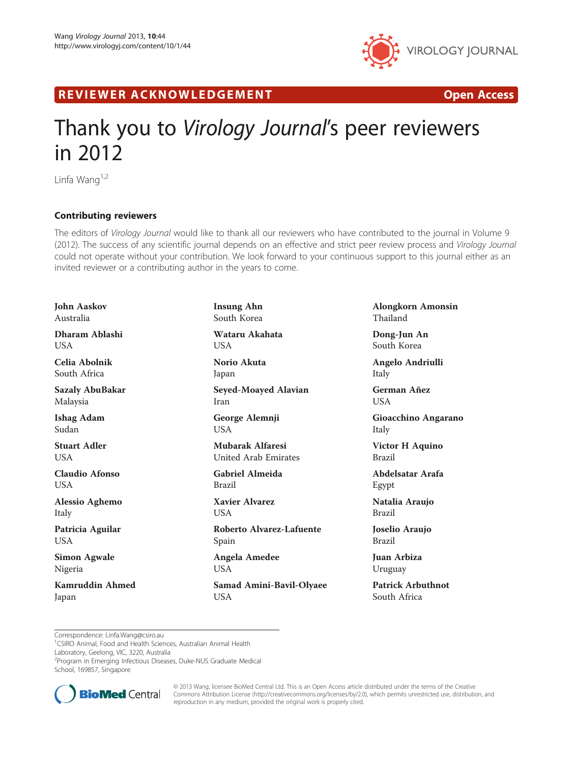

R EVI EW E R ACKNOW L EDG EM EN T Open Access

## Thank you to Virology Journal's peer reviewers in 2012

Linfa Wang $1,2$ 

## Contributing reviewers

The editors of Virology Journal would like to thank all our reviewers who have contributed to the journal in Volume 9 (2012). The success of any scientific journal depends on an effective and strict peer review process and Virology Journal could not operate without your contribution. We look forward to your continuous support to this journal either as an invited reviewer or a contributing author in the years to come.

John Aaskov Australia Dharam Ablashi USA Celia Abolnik South Africa Sazaly AbuBakar Malaysia Ishag Adam Sudan Stuart Adler **I** ISA Claudio Afonso USA Alessio Aghemo Italy Patricia Aguilar USA Simon Agwale Nigeria Kamruddin Ahmed

Japan

Insung Ahn South Korea Wataru Akahata USA Norio Akuta Japan Seyed-Moayed Alavian Iran George Alemnji USA Mubarak Alfaresi United Arab Emirates Gabriel Almeida Brazil Xavier Alvarez **USA** Roberto Alvarez-Lafuente Spain Angela Amedee USA

Samad Amini-Bavil-Olyaee USA

Alongkorn Amonsin Thailand

Dong-Jun An South Korea

Angelo Andriulli Italy

German Añez USA

Gioacchino Angarano Italy

Victor H Aquino Brazil

Abdelsatar Arafa Egypt

Natalia Araujo Brazil

Joselio Araujo Brazil

Juan Arbiza Uruguay

Patrick Arbuthnot South Africa

1 CSIRO Animal, Food and Health Sciences, Australian Animal Health

Laboratory, Geelong, VIC, 3220, Australia

2 Program in Emerging Infectious Diseases, Duke-NUS Graduate Medical

School, 169857, Singapore



© 2013 Wang; licensee BioMed Central Ltd. This is an Open Access article distributed under the terms of the Creative Commons Attribution License [\(http://creativecommons.org/licenses/by/2.0\)](http://creativecommons.org/licenses/by/2.0), which permits unrestricted use, distribution, and reproduction in any medium, provided the original work is properly cited.

Correspondence: Linfa.Wang@csiro.au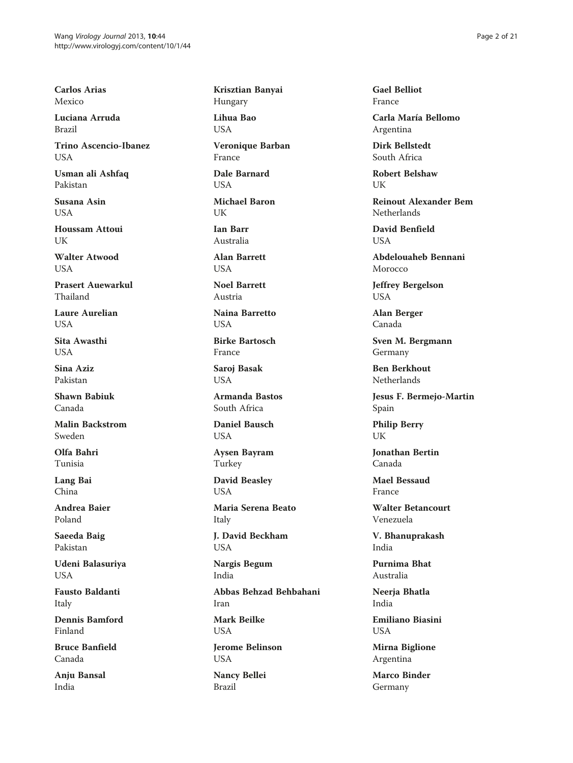Carlos Arias Mexico

Luciana Arruda Brazil

Trino Ascencio-Ibanez **USA** 

Usman ali Ashfaq Pakistan

Susana Asin **USA** 

Houssam Attoui UK

Walter Atwood **I** IS A

Prasert Auewarkul Thailand

Laure Aurelian **USA** 

Sita Awasthi **USA** 

Sina Aziz Pakistan

Shawn Babiuk Canada

Malin Backstrom Sweden

Olfa Bahri Tunisia

Lang Bai China

Andrea Baier Poland

Saeeda Baig Pakistan

Udeni Balasuriya USA

Fausto Baldanti Italy

Dennis Bamford Finland

Bruce Banfield Canada

Anju Bansal India

Krisztian Banyai Hungary

Lihua Bao USA

Veronique Barban France

Dale Barnard USA

Michael Baron **IK** 

Ian Barr Australia

Alan Barrett **I** IS A

Noel Barrett Austria

Naina Barretto USA

Birke Bartosch France

Saroj Basak **USA** 

Armanda Bastos South Africa

Daniel Bausch **USA** 

Aysen Bayram Turkey

David Beasley USA

Maria Serena Beato Italy

J. David Beckham USA

Nargis Begum India

Abbas Behzad Behbahani Iran

Mark Beilke USA

Jerome Belinson USA

Nancy Bellei Brazil

Gael Belliot France

Carla María Bellomo Argentina

Dirk Bellstedt South Africa

Robert Belshaw UK

Reinout Alexander Bem Netherlands

David Benfield **USA** 

Abdelouaheb Bennani Morocco

Jeffrey Bergelson USA

Alan Berger Canada

Sven M. Bergmann Germany

Ben Berkhout Netherlands

Jesus F. Bermejo-Martin Spain

Philip Berry UK

Jonathan Bertin Canada

Mael Bessaud France

Walter Betancourt Venezuela

V. Bhanuprakash India

Purnima Bhat Australia

Neerja Bhatla India

Emiliano Biasini **USA** 

Mirna Biglione Argentina

Marco Binder Germany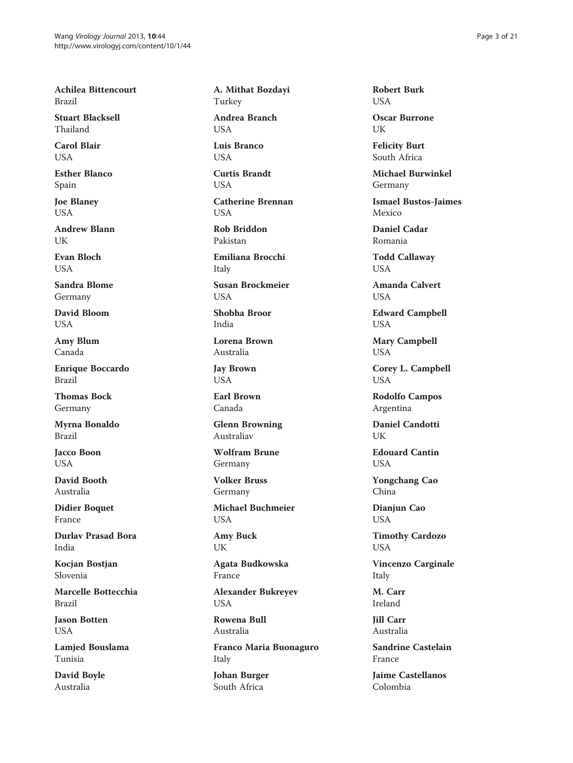Achilea Bittencourt Brazil

Stuart Blacksell Thailand

Carol Blair **USA** 

Esther Blanco Spain

Joe Blaney USA

Andrew Blann **I** IK

Evan Bloch **I** IS A

Sandra Blome Germany

David Bloom USA

Amy Blum Canada

Enrique Boccardo Brazil

Thomas Bock Germany

Myrna Bonaldo Brazil

Jacco Boon **USA** 

David Booth Australia

Didier Boquet France

Durlav Prasad Bora India

Kocjan Bostjan Slovenia

Marcelle Bottecchia Brazil

Jason Botten USA

Lamjed Bouslama Tunisia

David Boyle Australia

A. Mithat Bozdayi Turkey Andrea Branch

USA Luis Branco

USA

Curtis Brandt USA

Catherine Brennan **I** ISA

Rob Briddon Pakistan

Emiliana Brocchi Italy

Susan Brockmeier USA

Shobha Broor India

Lorena Brown Australia

Jay Brown USA

Earl Brown Canada

Glenn Browning Australiav

Wolfram Brune Germany

Volker Bruss Germany

Michael Buchmeier USA

Amy Buck UK

Agata Budkowska France

Alexander Bukreyev USA

Rowena Bull Australia

Franco Maria Buonaguro Italy

Johan Burger South Africa

Robert Burk USA

Oscar Burrone UK

Felicity Burt South Africa

Michael Burwinkel Germany

Ismael Bustos-Jaimes Mexico

Daniel Cadar Romania

Todd Callaway USA

Amanda Calvert USA

Edward Campbell USA

Mary Campbell USA

Corey L. Campbell USA

Rodolfo Campos Argentina

Daniel Candotti I IK

Edouard Cantin USA

Yongchang Cao China

Dianjun Cao USA

Timothy Cardozo USA

Vincenzo Carginale Italy

M. Carr Ireland

Jill Carr Australia

Sandrine Castelain France

Jaime Castellanos Colombia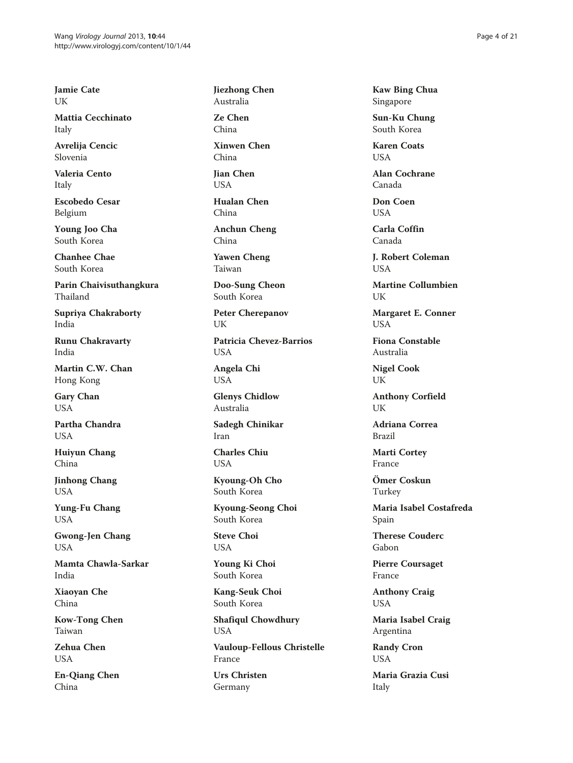Jamie Cate UK

Mattia Cecchinato Italy

Avrelija Cencic Slovenia

Valeria Cento Italy

Escobedo Cesar Belgium

Young Joo Cha South Korea

Chanhee Chae South Korea

Parin Chaivisuthangkura Thailand

Supriya Chakraborty India

Runu Chakravarty India

Martin C.W. Chan Hong Kong

Gary Chan USA

Partha Chandra **USA** 

Huiyun Chang China

Jinhong Chang USA

Yung-Fu Chang USA

Gwong-Jen Chang USA

Mamta Chawla-Sarkar India

Xiaoyan Che China

Kow-Tong Chen Taiwan

Zehua Chen USA

En-Qiang Chen China

Jiezhong Chen Australia

Ze Chen China

Xinwen Chen China

Jian Chen USA

Hualan Chen China

Anchun Cheng China

Yawen Cheng Taiwan

Doo-Sung Cheon South Korea

Peter Cherepanov UK

Patricia Chevez-Barrios **USA** 

Angela Chi USA

Glenys Chidlow Australia

Sadegh Chinikar Iran

Charles Chiu USA

Kyoung-Oh Cho South Korea

Kyoung-Seong Choi South Korea

Steve Choi USA

Young Ki Choi South Korea

Kang-Seuk Choi South Korea

Shafiqul Chowdhury USA

Vauloup-Fellous Christelle France

Urs Christen Germany

Kaw Bing Chua Singapore

Sun-Ku Chung South Korea

Karen Coats **USA** 

Alan Cochrane Canada

Don Coen **USA** 

Carla Coffin Canada

J. Robert Coleman **USA** 

Martine Collumbien UK

Margaret E. Conner USA

Fiona Constable Australia

Nigel Cook UK

Anthony Corfield UK

Adriana Correa Brazil

Marti Cortey France

Ömer Coskun Turkey

Maria Isabel Costafreda Spain

Therese Couderc Gabon

Pierre Coursaget France

Anthony Craig USA

Maria Isabel Craig Argentina

Randy Cron USA

Maria Grazia Cusi Italy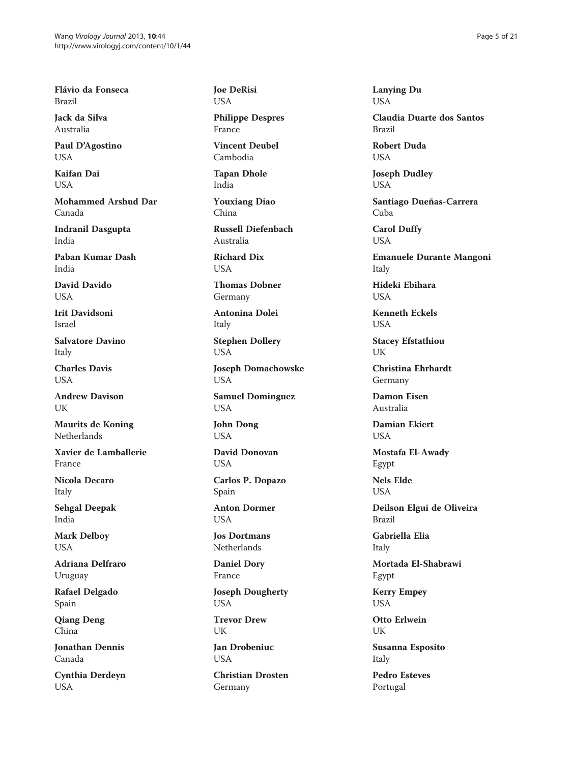Flávio da Fonseca Brazil

Jack da Silva Australia

Paul D'Agostino **USA** 

Kaifan Dai USA

Mohammed Arshud Dar Canada

Indranil Dasgupta India

Paban Kumar Dash India

David Davido **USA** 

Irit Davidsoni Israel

Salvatore Davino Italy

Charles Davis **USA** 

Andrew Davison UK

Maurits de Koning Netherlands

Xavier de Lamballerie France

Nicola Decaro Italy

Sehgal Deepak India

Mark Delboy USA

Adriana Delfraro Uruguay

Rafael Delgado Spain

Qiang Deng China

Jonathan Dennis Canada

Cynthia Derdeyn USA

Joe DeRisi USA

Philippe Despres France

Vincent Deubel Cambodia

Tapan Dhole India

Youxiang Diao China

Russell Diefenbach Australia

Richard Dix **USA** 

Thomas Dobner Germany

Antonina Dolei Italy

Stephen Dollery USA

Joseph Domachowske USA

Samuel Dominguez USA

John Dong USA

David Donovan USA

Carlos P. Dopazo Spain

Anton Dormer USA

Jos Dortmans Netherlands

Daniel Dory France

Joseph Dougherty USA

Trevor Drew **UK** 

Jan Drobeniuc **USA** 

Christian Drosten Germany

Lanying Du USA

Claudia Duarte dos Santos Brazil

Robert Duda **USA** 

Joseph Dudley USA

Santiago Dueñas-Carrera Cuba

Carol Duffy USA

Emanuele Durante Mangoni Italy

Hideki Ebihara **USA** 

Kenneth Eckels USA

Stacey Efstathiou UK

Christina Ehrhardt Germany

Damon Eisen Australia

Damian Ekiert **USA** 

Mostafa El-Awady Egypt

Nels Elde **USA** 

Deilson Elgui de Oliveira Brazil

Gabriella Elia Italy

Mortada El-Shabrawi Egypt

Kerry Empey USA

Otto Erlwein UK

Susanna Esposito Italy

Pedro Esteves Portugal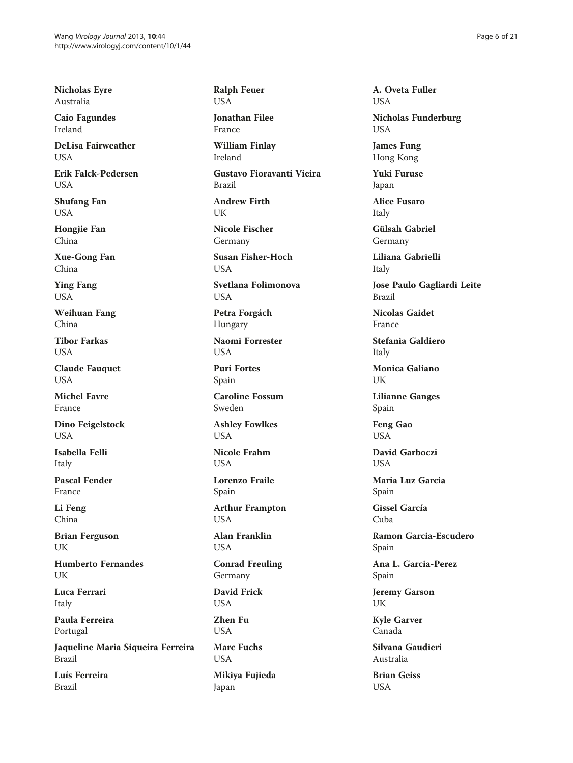Nicholas Eyre Australia

Caio Fagundes Ireland

DeLisa Fairweather **USA** 

Erik Falck-Pedersen USA

Shufang Fan USA

Hongjie Fan China

Xue-Gong Fan China

Ying Fang USA

Weihuan Fang China

Tibor Farkas **USA** 

Claude Fauquet **USA** 

Michel Favre France

Dino Feigelstock **USA** 

Isabella Felli Italy

Pascal Fender France

Li Feng China

Brian Ferguson UK

Humberto Fernandes UK

Luca Ferrari Italy

Paula Ferreira Portugal

Jaqueline Maria Siqueira Ferreira Brazil

Luís Ferreira Brazil

Ralph Feuer USA

Jonathan Filee France

William Finlay Ireland

Gustavo Fioravanti Vieira Brazil

Andrew Firth **IK** 

Nicole Fischer Germany

Susan Fisher-Hoch **I** IS A

Svetlana Folimonova USA

Petra Forgách Hungary

Naomi Forrester **USA** 

Puri Fortes Spain

Caroline Fossum Sweden

Ashley Fowlkes **USA** 

Nicole Frahm **USA** 

Lorenzo Fraile Spain

Arthur Frampton USA

Alan Franklin USA

Conrad Freuling Germany

David Frick USA

Zhen Fu USA

Marc Fuchs USA

Mikiya Fujieda Japan

A. Oveta Fuller USA

Nicholas Funderburg USA

James Fung Hong Kong

Yuki Furuse Japan

Alice Fusaro Italy

Gülsah Gabriel Germany

Liliana Gabrielli Italy

Jose Paulo Gagliardi Leite Brazil

Nicolas Gaidet France

Stefania Galdiero Italy

Monica Galiano UK

Lilianne Ganges Spain

Feng Gao **USA** 

David Garboczi **USA** 

Maria Luz Garcia Spain

Gissel García Cuba

Ramon Garcia-Escudero Spain

Ana L. Garcia-Perez Spain

Jeremy Garson UK

Kyle Garver Canada

Silvana Gaudieri Australia

Brian Geiss USA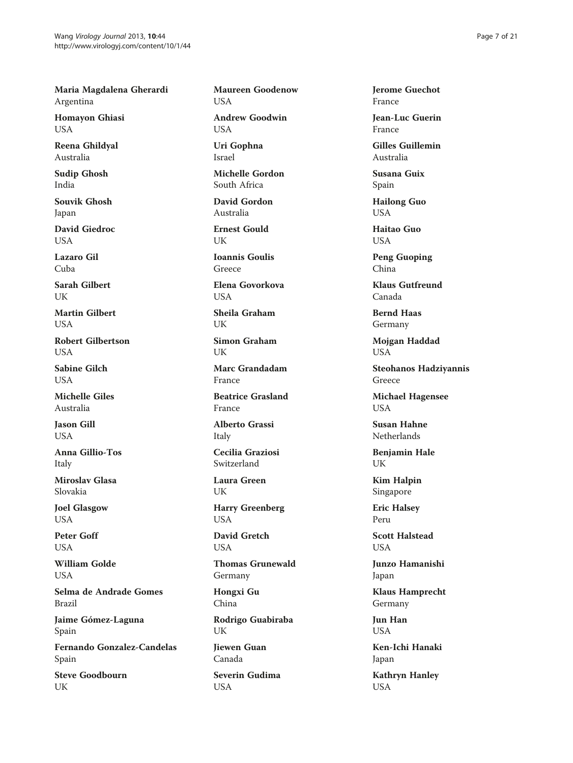Maria Magdalena Gherardi Argentina

Homayon Ghiasi USA

Reena Ghildyal Australia

Sudip Ghosh India

Souvik Ghosh Japan

David Giedroc USA

Lazaro Gil Cuba

Sarah Gilbert UK

Martin Gilbert **USA** 

Robert Gilbertson **USA** 

Sabine Gilch **USA** 

Michelle Giles Australia

Jason Gill **USA** 

Anna Gillio-Tos Italy

Miroslav Glasa Slovakia

Joel Glasgow USA

Peter Goff USA

William Golde USA

Selma de Andrade Gomes Brazil

Jaime Gómez-Laguna Spain

Fernando Gonzalez-Candelas Spain

Steve Goodbourn UK

Maureen Goodenow USA

Andrew Goodwin USA

Uri Gophna Israel

Michelle Gordon South Africa

David Gordon Australia

Ernest Gould **IK** 

Ioannis Goulis Greece

Elena Govorkova USA

Sheila Graham UK

Simon Graham UK

Marc Grandadam France

Beatrice Grasland France

Alberto Grassi Italy

Cecilia Graziosi Switzerland

Laura Green UK

Harry Greenberg USA

David Gretch

USA Thomas Grunewald

Germany

Hongxi Gu China

Rodrigo Guabiraba UK

Jiewen Guan Canada

Severin Gudima USA

Jerome Guechot France

Jean-Luc Guerin France

Gilles Guillemin Australia

Susana Guix Spain

Hailong Guo USA

Haitao Guo USA

Peng Guoping China

Klaus Gutfreund Canada

Bernd Haas Germany

Mojgan Haddad USA

Steohanos Hadziyannis Greece

Michael Hagensee USA

Susan Hahne Netherlands

Benjamin Hale UK

Kim Halpin Singapore

Eric Halsey Peru

Scott Halstead **USA** 

Junzo Hamanishi Japan

Klaus Hamprecht Germany

Jun Han USA

Ken-Ichi Hanaki Japan

Kathryn Hanley USA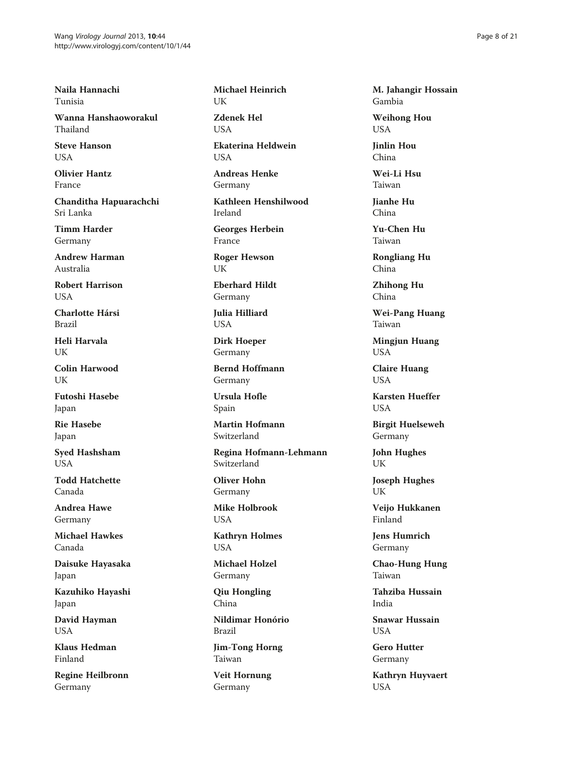Naila Hannachi Tunisia

Wanna Hanshaoworakul Thailand

Steve Hanson **USA** 

Olivier Hantz France

Chanditha Hapuarachchi Sri Lanka

Timm Harder Germany

Andrew Harman Australia

Robert Harrison USA

Charlotte Hársi Brazil

Heli Harvala UK

Colin Harwood UK

Futoshi Hasebe Japan

Rie Hasebe Japan

Syed Hashsham **USA** 

Todd Hatchette Canada

Andrea Hawe Germany

Michael Hawkes Canada

Daisuke Hayasaka Japan

Kazuhiko Hayashi Japan

David Hayman USA

Klaus Hedman Finland

Regine Heilbronn Germany

Michael Heinrich UK

Zdenek Hel **I** ISA

Ekaterina Heldwein **USA** 

Andreas Henke Germany

Kathleen Henshilwood Ireland

Georges Herbein France

Roger Hewson UK

Eberhard Hildt Germany

Julia Hilliard USA

Dirk Hoeper Germany

Bernd Hoffmann Germany

Ursula Hofle Spain

Martin Hofmann Switzerland

Regina Hofmann-Lehmann Switzerland

Oliver Hohn Germany

Mike Holbrook USA

Kathryn Holmes USA

Michael Holzel Germany

Qiu Hongling China

Nildimar Honório Brazil

Jim-Tong Horng Taiwan

Veit Hornung Germany

M. Jahangir Hossain Gambia

Weihong Hou USA

Jinlin Hou China

Wei-Li Hsu Taiwan

Jianhe Hu China

Yu-Chen Hu Taiwan

Rongliang Hu China

Zhihong Hu China

Wei-Pang Huang Taiwan

Mingjun Huang USA

Claire Huang **USA** 

Karsten Hueffer **I** ISA

Birgit Huelseweh Germany

John Hughes UK

Joseph Hughes UK

Veijo Hukkanen Finland

Jens Humrich Germany

Chao-Hung Hung Taiwan

Tahziba Hussain India

Snawar Hussain **USA** 

Gero Hutter Germany

Kathryn Huyvaert USA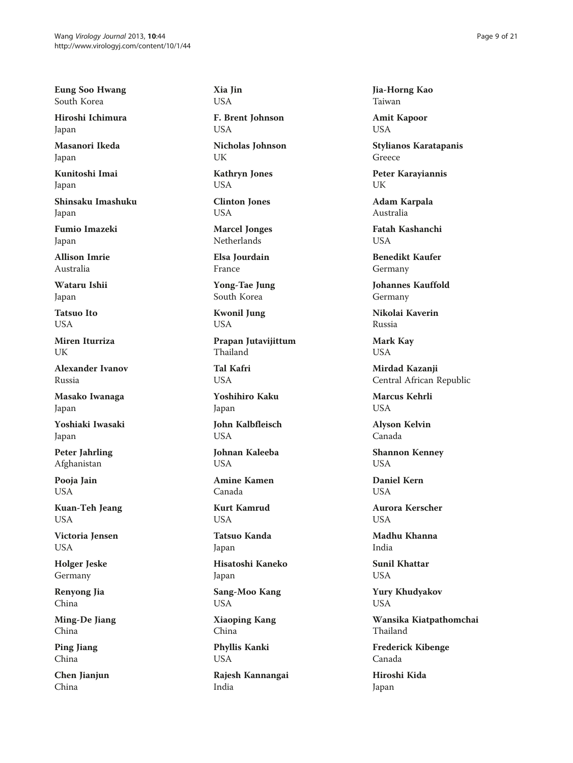Eung Soo Hwang South Korea

Hiroshi Ichimura Japan

Masanori Ikeda Japan

Kunitoshi Imai Japan

Shinsaku Imashuku Japan

Fumio Imazeki Japan

Allison Imrie Australia

Wataru Ishii Japan

Tatsuo Ito **USA** 

Miren Iturriza UK

Alexander Ivanov Russia

Masako Iwanaga Japan

Yoshiaki Iwasaki Japan

Peter Jahrling Afghanistan

Pooja Jain USA

Kuan-Teh Jeang USA

Victoria Jensen USA

Holger Jeske Germany

Renyong Jia China

Ming-De Jiang China

Ping Jiang China

Chen Jianjun China

Xia Jin USA

F. Brent Johnson USA

Nicholas Johnson UK

Kathryn Jones USA

Clinton Jones USA

Marcel Jonges Netherlands

Elsa Jourdain France

Yong-Tae Jung South Korea

Kwonil Jung USA

Prapan Jutavijittum Thailand

Tal Kafri **USA** 

Yoshihiro Kaku Japan

John Kalbfleisch **USA** 

Johnan Kaleeba **USA** 

Amine Kamen Canada

Kurt Kamrud USA

Tatsuo Kanda Japan

Hisatoshi Kaneko Japan

Sang-Moo Kang USA

Xiaoping Kang China

Phyllis Kanki USA

Rajesh Kannangai India

Jia-Horng Kao Taiwan

Amit Kapoor USA

Stylianos Karatapanis Greece

Peter Karayiannis UK

Adam Karpala Australia

Fatah Kashanchi **USA** 

Benedikt Kaufer Germany

Johannes Kauffold Germany

Nikolai Kaverin Russia

Mark Kay USA

Mirdad Kazanji Central African Republic

Marcus Kehrli **USA** 

Alyson Kelvin Canada

Shannon Kenney **USA** 

Daniel Kern **USA** 

Aurora Kerscher **USA** 

Madhu Khanna India

Sunil Khattar USA

Yury Khudyakov USA

Wansika Kiatpathomchai Thailand

Frederick Kibenge Canada

Hiroshi Kida Japan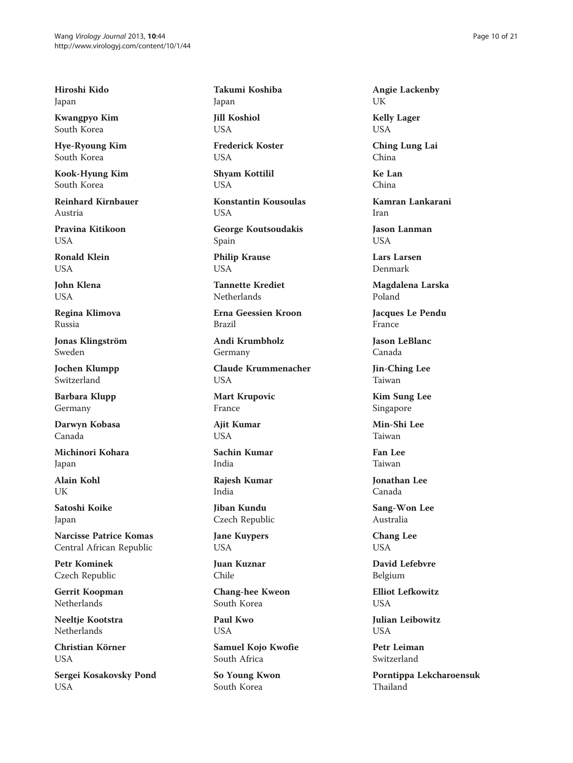Hiroshi Kido Japan

Kwangpyo Kim South Korea

Hye-Ryoung Kim South Korea

Kook-Hyung Kim South Korea

Reinhard Kirnbauer Austria

Pravina Kitikoon USA

Ronald Klein **I** IS A

John Klena USA

Regina Klimova Russia

Jonas Klingström Sweden

Jochen Klumpp Switzerland

Barbara Klupp Germany

Darwyn Kobasa Canada

Michinori Kohara Japan

Alain Kohl UK

Satoshi Koike Japan

Narcisse Patrice Komas Central African Republic

Petr Kominek Czech Republic

Gerrit Koopman **Netherlands** 

Neeltje Kootstra Netherlands

Christian Körner USA

Sergei Kosakovsky Pond USA

Takumi Koshiba Japan

Jill Koshiol USA

Frederick Koster **USA** 

Shyam Kottilil USA

Konstantin Kousoulas USA

George Koutsoudakis Spain Philip Krause

USA

Tannette Krediet Netherlands

Erna Geessien Kroon Brazil

Andi Krumbholz Germany

Claude Krummenacher USA

Mart Krupovic France

Ajit Kumar **USA** 

Sachin Kumar India

Rajesh Kumar India

Jiban Kundu Czech Republic

Jane Kuypers USA

Juan Kuznar Chile

Chang-hee Kweon South Korea

Paul Kwo USA

Samuel Kojo Kwofie South Africa

So Young Kwon South Korea

Angie Lackenby UK

Kelly Lager USA

Ching Lung Lai China

Ke Lan China

Kamran Lankarani Iran

Jason Lanman **USA** 

Lars Larsen Denmark

Magdalena Larska Poland

Jacques Le Pendu France

Jason LeBlanc Canada

Jin-Ching Lee Taiwan

Kim Sung Lee Singapore

Min-Shi Lee Taiwan

Fan Lee Taiwan

Jonathan Lee Canada

Sang-Won Lee Australia

Chang Lee USA

David Lefebvre Belgium

Elliot Lefkowitz USA

Julian Leibowitz **USA** 

Petr Leiman Switzerland

Porntippa Lekcharoensuk Thailand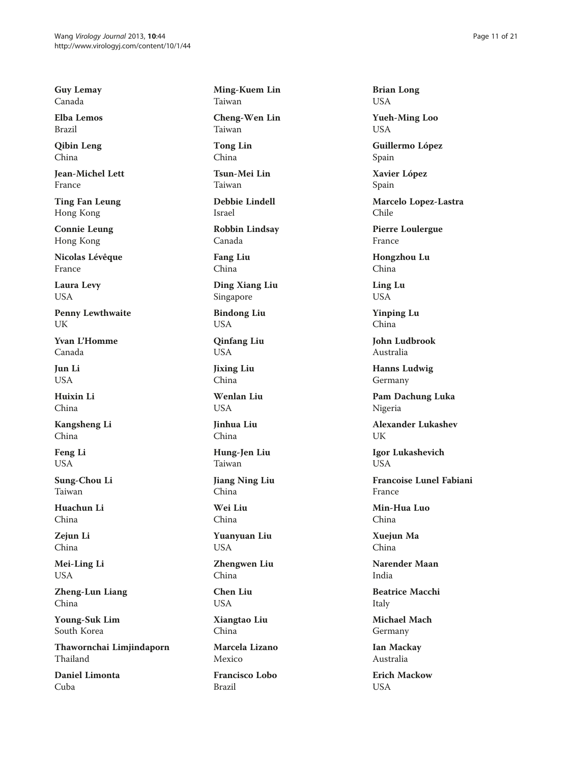Guy Lemay Canada

Elba Lemos Brazil

Qibin Leng China

Jean-Michel Lett France

Ting Fan Leung Hong Kong

Connie Leung Hong Kong

Nicolas Lévêque France

Laura Levy USA

Penny Lewthwaite UK

Yvan L'Homme Canada

Jun Li USA

Huixin Li China

Kangsheng Li China

Feng Li USA

Sung-Chou Li Taiwan

Huachun Li China

Zejun Li China

Mei-Ling Li USA

Zheng-Lun Liang China

Young-Suk Lim South Korea

Thawornchai Limjindaporn Thailand

Daniel Limonta Cuba

Ming-Kuem Lin Taiwan

Cheng-Wen Lin Taiwan

Tong Lin China

Tsun-Mei Lin Taiwan

Debbie Lindell Israel

Robbin Lindsay Canada

Fang Liu China

Ding Xiang Liu Singapore

Bindong Liu USA

Qinfang Liu USA

Jixing Liu China

Wenlan Liu **USA** 

Jinhua Liu China

Hung-Jen Liu Taiwan

Jiang Ning Liu China

Wei Liu China

Yuanyuan Liu USA

Zhengwen Liu China

Chen Liu USA

Xiangtao Liu China

Marcela Lizano Mexico

Francisco Lobo Brazil

Brian Long USA

Yueh-Ming Loo USA

Guillermo López Spain

Xavier López Spain

Marcelo Lopez-Lastra Chile

Pierre Loulergue France

Hongzhou Lu China

Ling Lu USA

Yinping Lu China

John Ludbrook Australia

Hanns Ludwig Germany

Pam Dachung Luka Nigeria

Alexander Lukashev UK

Igor Lukashevich **USA** 

Francoise Lunel Fabiani France

Min-Hua Luo China

Xuejun Ma China

Narender Maan India

Beatrice Macchi Italy

Michael Mach Germany

Ian Mackay Australia

Erich Mackow USA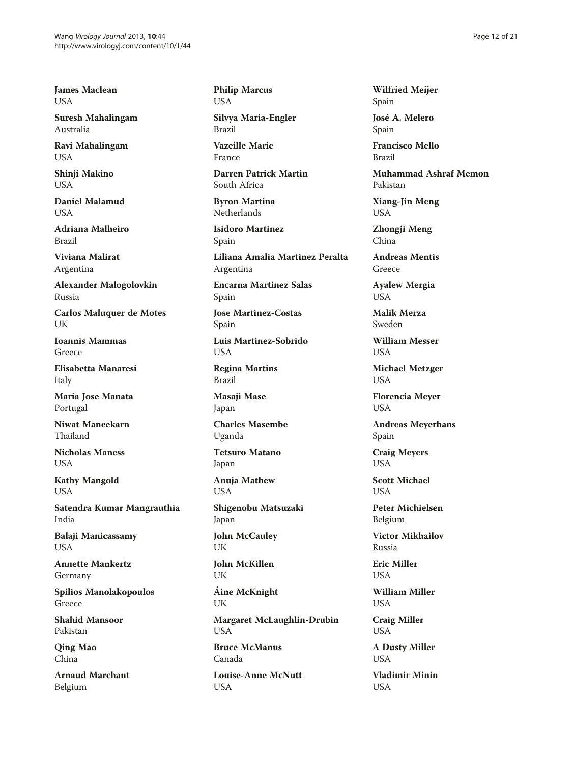James Maclean USA

Suresh Mahalingam Australia

Ravi Mahalingam USA

Shinji Makino USA

Daniel Malamud  $I$   $I$  $S$  $\Delta$ 

Adriana Malheiro Brazil

Viviana Malirat Argentina

Alexander Malogolovkin Russia

Carlos Maluquer de Motes UK

Ioannis Mammas Greece

Elisabetta Manaresi Italy

Maria Jose Manata Portugal

Niwat Maneekarn Thailand

Nicholas Maness USA

Kathy Mangold USA

Satendra Kumar Mangrauthia India

Balaji Manicassamy USA

Annette Mankertz Germany

Spilios Manolakopoulos Greece

Shahid Mansoor Pakistan

Qing Mao China

Arnaud Marchant Belgium

Philip Marcus USA

Silvya Maria-Engler Brazil

Vazeille Marie France

Darren Patrick Martin South Africa

Byron Martina Netherlands

Isidoro Martinez Spain Liliana Amalia Martinez Peralta

Argentina

Encarna Martinez Salas Spain

Jose Martinez-Costas Spain

Luis Martinez-Sobrido USA

Regina Martins Brazil

Masaji Mase Japan

Charles Masembe Uganda

Tetsuro Matano Japan

Anuja Mathew **USA** 

Shigenobu Matsuzaki Japan

John McCauley UK

John McKillen UK

Áine McKnight UK

Margaret McLaughlin-Drubin USA

Bruce McManus Canada

Louise-Anne McNutt USA

Wilfried Meijer Spain

José A. Melero Spain

Francisco Mello Brazil

Muhammad Ashraf Memon Pakistan

Xiang-Jin Meng USA

Zhongji Meng China

Andreas Mentis Greece

Ayalew Mergia USA

Malik Merza Sweden

William Messer **USA** 

Michael Metzger USA

Florencia Meyer USA

Andreas Meyerhans Spain

Craig Meyers **USA** 

Scott Michael **USA** 

Peter Michielsen Belgium

Victor Mikhailov Russia

Eric Miller USA

William Miller USA

Craig Miller USA

A Dusty Miller USA

Vladimir Minin USA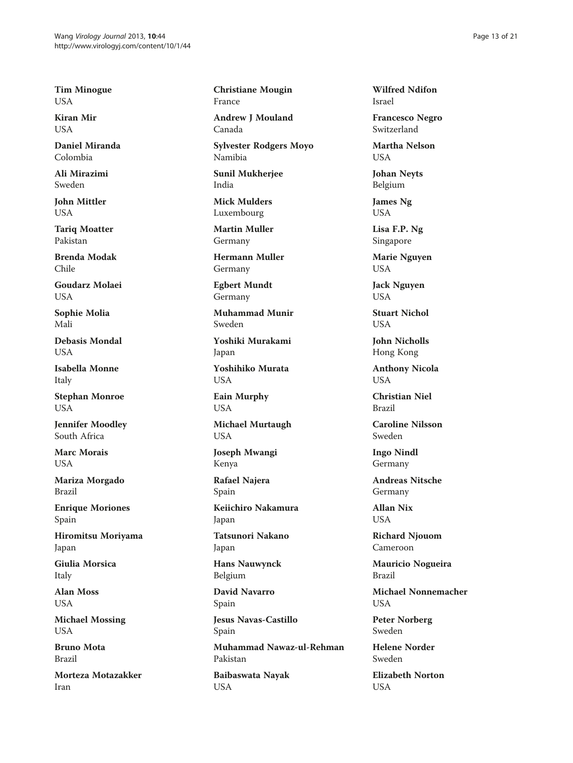Tim Minogue USA

Kiran Mir USA

Daniel Miranda Colombia

Ali Mirazimi Sweden

John Mittler USA

Tariq Moatter Pakistan

Brenda Modak Chile

Goudarz Molaei USA

Sophie Molia Mali

Debasis Mondal **USA** 

Isabella Monne Italy

Stephan Monroe USA

Jennifer Moodley South Africa

Marc Morais USA

Mariza Morgado Brazil

Enrique Moriones Spain

Hiromitsu Moriyama Japan

Giulia Morsica Italy

Alan Moss USA

Michael Mossing USA

Bruno Mota Brazil

Morteza Motazakker Iran

Christiane Mougin France

Andrew J Mouland Canada

Sylvester Rodgers Moyo Namibia

Sunil Mukherjee India

Mick Mulders Luxembourg

Martin Muller Germany

Hermann Muller Germany

Egbert Mundt Germany

Muhammad Munir Sweden

Yoshiki Murakami Japan

Yoshihiko Murata USA

Eain Murphy USA

Michael Murtaugh USA

Joseph Mwangi Kenya

Rafael Najera Spain

Keiichiro Nakamura Japan

Tatsunori Nakano

Japan

Hans Nauwynck Belgium

David Navarro Spain

Jesus Navas-Castillo Spain

Muhammad Nawaz-ul-Rehman Pakistan

Baibaswata Nayak USA

Wilfred Ndifon Israel

Francesco Negro Switzerland

Martha Nelson **USA** 

Johan Neyts Belgium

James Ng USA

Lisa F.P. Ng Singapore

Marie Nguyen USA

Jack Nguyen USA

Stuart Nichol **USA** 

John Nicholls Hong Kong

Anthony Nicola **USA** 

Christian Niel Brazil

Caroline Nilsson Sweden

Ingo Nindl Germany

Andreas Nitsche Germany

Allan Nix USA

Richard Njouom Cameroon

Mauricio Nogueira Brazil

Michael Nonnemacher USA

Peter Norberg Sweden

Helene Norder Sweden

Elizabeth Norton USA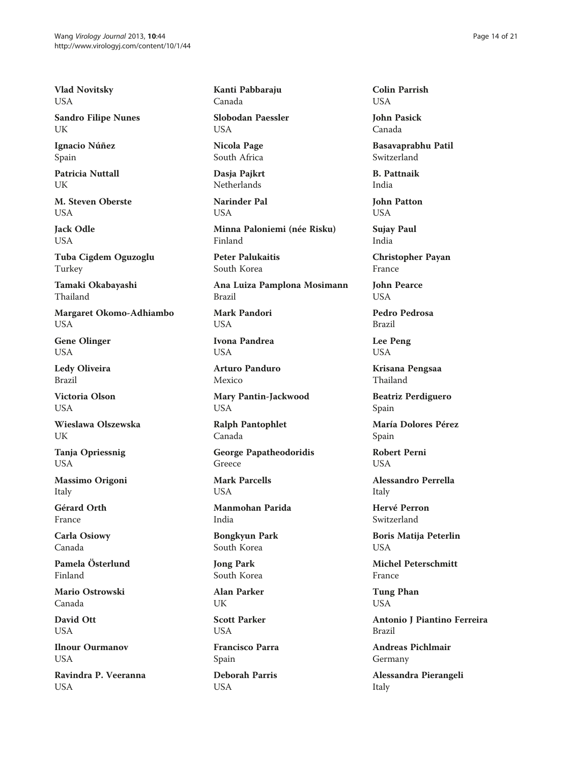Vlad Novitsky USA

Sandro Filipe Nunes UK

Ignacio Núñez Spain

Patricia Nuttall UK

M. Steven Oberste **I** ISA

Jack Odle USA

Tuba Cigdem Oguzoglu Turkey

Tamaki Okabayashi Thailand

Margaret Okomo-Adhiambo USA

Gene Olinger USA

Ledy Oliveira Brazil

Victoria Olson **USA** 

Wieslawa Olszewska **UK** 

Tanja Opriessnig USA

Massimo Origoni Italy

Gérard Orth France

Carla Osiowy Canada

Pamela Österlund Finland

Mario Ostrowski Canada

David Ott USA

Ilnour Ourmanov **USA** 

Ravindra P. Veeranna USA

Kanti Pabbaraju Canada

Slobodan Paessler USA

Nicola Page South Africa

Dasia Paikrt **Netherlands** 

Narinder Pal **I** ISA

Minna Paloniemi (née Risku) Finland

Peter Palukaitis South Korea

Ana Luiza Pamplona Mosimann Brazil

Mark Pandori USA

Ivona Pandrea **USA** 

Arturo Panduro Mexico

Mary Pantin-Jackwood USA

Ralph Pantophlet Canada

George Papatheodoridis Greece

Mark Parcells **USA** 

Manmohan Parida India

Bongkyun Park South Korea

Jong Park South Korea

Alan Parker UK

Scott Parker USA

Francisco Parra Spain

Deborah Parris USA

Colin Parrish USA

John Pasick Canada

Basavaprabhu Patil Switzerland

B. Pattnaik India

John Patton USA

Sujay Paul India

Christopher Payan France

John Pearce **USA** 

Pedro Pedrosa Brazil

Lee Peng USA

Krisana Pengsaa Thailand

Beatriz Perdiguero Spain

María Dolores Pérez Spain

Robert Perni **USA** 

Alessandro Perrella Italy

Hervé Perron Switzerland

Boris Matija Peterlin USA

Michel Peterschmitt France

Tung Phan USA

Antonio J Piantino Ferreira Brazil

Andreas Pichlmair Germany

Alessandra Pierangeli Italy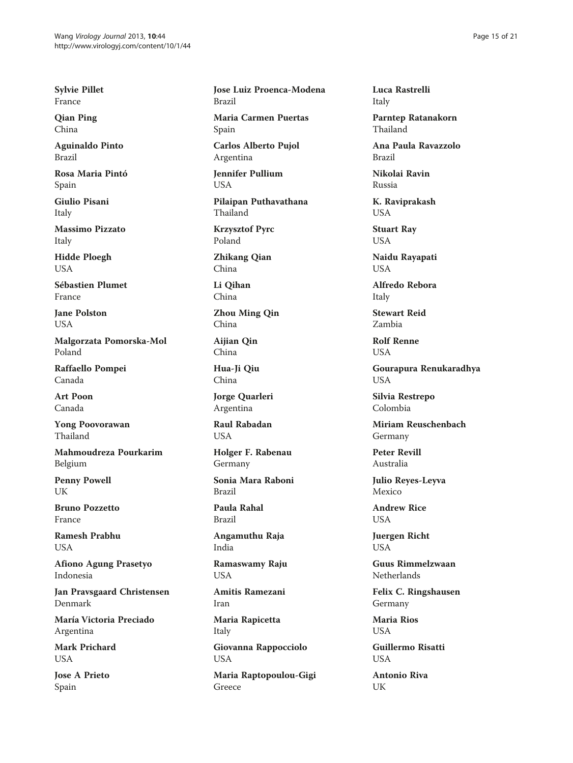Sylvie Pillet France

Qian Ping China

Aguinaldo Pinto Brazil

Rosa Maria Pintó Spain

Giulio Pisani Italy

Massimo Pizzato Italy

Hidde Ploegh USA

Sébastien Plumet France

Jane Polston USA

Malgorzata Pomorska-Mol Poland

Raffaello Pompei Canada

Art Poon Canada

Yong Poovorawan Thailand

Mahmoudreza Pourkarim Belgium

Penny Powell UK

Bruno Pozzetto France

Ramesh Prabhu USA

Afiono Agung Prasetyo Indonesia

Jan Pravsgaard Christensen Denmark

María Victoria Preciado Argentina

Mark Prichard **USA** 

Jose A Prieto Spain

Jose Luiz Proenca-Modena Brazil Maria Carmen Puertas Spain

Carlos Alberto Pujol Argentina

Jennifer Pullium USA

Pilaipan Puthavathana Thailand

Krzysztof Pyrc Poland

Zhikang Qian China

Li Qihan China

Zhou Ming Qin China

Aijian Qin China

Hua-Ji Qiu China

Jorge Quarleri Argentina

Raul Rabadan **USA** 

Holger F. Rabenau Germany

Sonia Mara Raboni Brazil

Paula Rahal Brazil

Angamuthu Raja India

Ramaswamy Raju USA

Amitis Ramezani Iran

Maria Rapicetta Italy

Giovanna Rappocciolo USA

Maria Raptopoulou-Gigi Greece

Luca Rastrelli Italy

Parntep Ratanakorn Thailand

Ana Paula Ravazzolo Brazil

Nikolai Ravin Russia

K. Raviprakash USA

Stuart Ray USA

Naidu Rayapati USA

Alfredo Rebora Italy

Stewart Reid Zambia

Rolf Renne USA

Gourapura Renukaradhya USA

Silvia Restrepo Colombia

Miriam Reuschenbach Germany

Peter Revill Australia

Julio Reyes-Leyva Mexico

Andrew Rice USA

Juergen Richt USA

Guus Rimmelzwaan Netherlands

Felix C. Ringshausen Germany

Maria Rios **USA** 

Guillermo Risatti **USA** 

Antonio Riva UK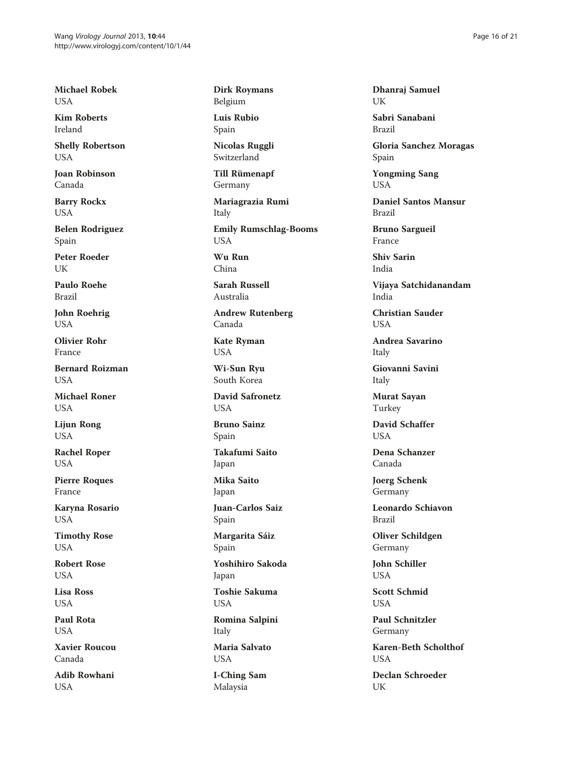Michael Robek USA

Kim Roberts Ireland

Shelly Robertson **USA** 

Joan Robinson Canada

Barry Rockx USA

Belen Rodriguez Spain

Peter Roeder I IK

Paulo Roehe Brazil

John Roehrig USA

Olivier Rohr France

Bernard Roizman **USA** 

Michael Roner **USA** 

Lijun Rong USA

Rachel Roper USA

Pierre Roques France

Karyna Rosario USA

Timothy Rose USA

Robert Rose USA

Lisa Ross USA

Paul Rota USA

Xavier Roucou Canada

Adib Rowhani USA

Dirk Roymans Belgium

Luis Rubio Spain

Nicolas Ruggli Switzerland

Till Rümenapf Germany

Mariagrazia Rumi Italy

Emily Rumschlag-Booms USA Wu Run

China

Sarah Russell Australia

Andrew Rutenberg Canada

Kate Ryman USA

Wi-Sun Ryu South Korea

David Safronetz **USA** 

Bruno Sainz Spain

Takafumi Saito Japan

Mika Saito Japan

Juan-Carlos Saiz Spain

Margarita Sáiz

Spain

Yoshihiro Sakoda Japan

Toshie Sakuma USA

Romina Salpini Italy

Maria Salvato USA

I-Ching Sam Malaysia

Dhanraj Samuel UK

Sabri Sanabani Brazil

Gloria Sanchez Moragas Spain

Yongming Sang USA

Daniel Santos Mansur Brazil

Bruno Sargueil France

Shiv Sarin India

Vijaya Satchidanandam India

Christian Sauder **USA** 

Andrea Savarino Italy

Giovanni Savini Italy

Murat Sayan Turkey

David Schaffer **USA** 

Dena Schanzer Canada

Joerg Schenk Germany

Leonardo Schiavon Brazil

Oliver Schildgen Germany

John Schiller USA

Scott Schmid USA

Paul Schnitzler Germany

Karen-Beth Scholthof **USA** 

Declan Schroeder UK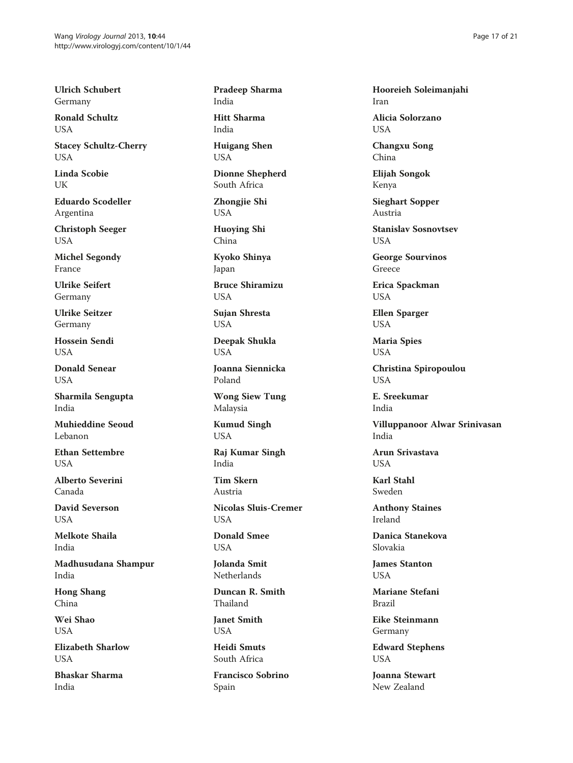Ulrich Schubert Germany

Ronald Schultz USA

Stacey Schultz-Cherry **USA** 

Linda Scobie UK

Eduardo Scodeller Argentina

Christoph Seeger USA

Michel Segondy France

Ulrike Seifert Germany

Ulrike Seitzer Germany

Hossein Sendi **USA** 

Donald Senear USA

Sharmila Sengupta India

Muhieddine Seoud Lebanon

Ethan Settembre **USA** 

Alberto Severini Canada

David Severson USA

Melkote Shaila India

Madhusudana Shampur India

Hong Shang China

Wei Shao USA

Elizabeth Sharlow **USA** 

Bhaskar Sharma India

Pradeep Sharma India

Hitt Sharma India

Huigang Shen USA

Dionne Shepherd South Africa

Zhongjie Shi USA

Huoying Shi China

Kyoko Shinya Japan

Bruce Shiramizu USA

Sujan Shresta USA

Deepak Shukla USA

Joanna Siennicka Poland

Wong Siew Tung Malaysia

Kumud Singh USA

Raj Kumar Singh India

Tim Skern Austria

Nicolas Sluis-Cremer USA

Donald Smee USA

Jolanda Smit Netherlands

Duncan R. Smith Thailand

Janet Smith USA

Heidi Smuts South Africa

Francisco Sobrino Spain

Hooreieh Soleimanjahi Iran

Alicia Solorzano USA

Changxu Song China

Elijah Songok Kenya

Sieghart Sopper Austria

Stanislav Sosnovtsev USA

George Sourvinos Greece

Erica Spackman USA

Ellen Sparger USA

Maria Spies USA

Christina Spiropoulou **USA** 

E. Sreekumar India

Villuppanoor Alwar Srinivasan India

Arun Srivastava **USA** 

Karl Stahl Sweden

Anthony Staines Ireland

Danica Stanekova Slovakia

James Stanton USA

Mariane Stefani Brazil

Eike Steinmann Germany

Edward Stephens USA

Joanna Stewart New Zealand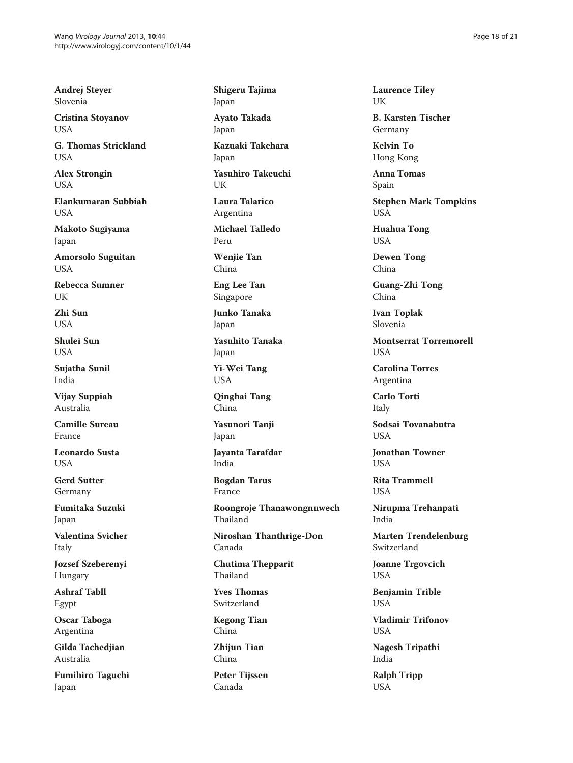Andrej Steyer Slovenia

Cristina Stoyanov USA

G. Thomas Strickland **USA** 

Alex Strongin USA

Elankumaran Subbiah **I** ISA

Makoto Sugiyama Japan

Amorsolo Suguitan USA

Rebecca Sumner UK

Zhi Sun **USA** 

Shulei Sun **USA** 

Sujatha Sunil India

Vijay Suppiah Australia

Camille Sureau France

Leonardo Susta **USA** 

Gerd Sutter Germany

Fumitaka Suzuki Japan

Valentina Svicher Italy

Jozsef Szeberenyi Hungary

Ashraf Tabll Egypt

Oscar Taboga Argentina

Gilda Tachedjian Australia

Fumihiro Taguchi Japan

Shigeru Tajima Japan Ayato Takada Japan Kazuaki Takehara Japan Yasuhiro Takeuchi UK Laura Talarico Argentina Michael Talledo Peru Wenjie Tan China Eng Lee Tan Singapore Junko Tanaka Japan Yasuhito Tanaka Japan

Yi-Wei Tang USA

Qinghai Tang China

Yasunori Tanji Japan

Jayanta Tarafdar India

Bogdan Tarus France

Roongroje Thanawongnuwech Thailand

Niroshan Thanthrige-Don Canada

Chutima Thepparit Thailand

Yves Thomas Switzerland

Kegong Tian China

Zhijun Tian China

Peter Tijssen Canada

Laurence Tiley UK

B. Karsten Tischer Germany

Kelvin To Hong Kong

Anna Tomas Spain

Stephen Mark Tompkins USA

Huahua Tong USA

Dewen Tong China

Guang-Zhi Tong China

Ivan Toplak Slovenia

Montserrat Torremorell **USA** 

Carolina Torres Argentina

Carlo Torti Italy

Sodsai Tovanabutra **USA** 

Jonathan Towner **USA** 

Rita Trammell **USA** 

Nirupma Trehanpati India

Marten Trendelenburg Switzerland

Joanne Trgovcich USA

Benjamin Trible USA

Vladimir Trifonov **USA** 

Nagesh Tripathi India

Ralph Tripp USA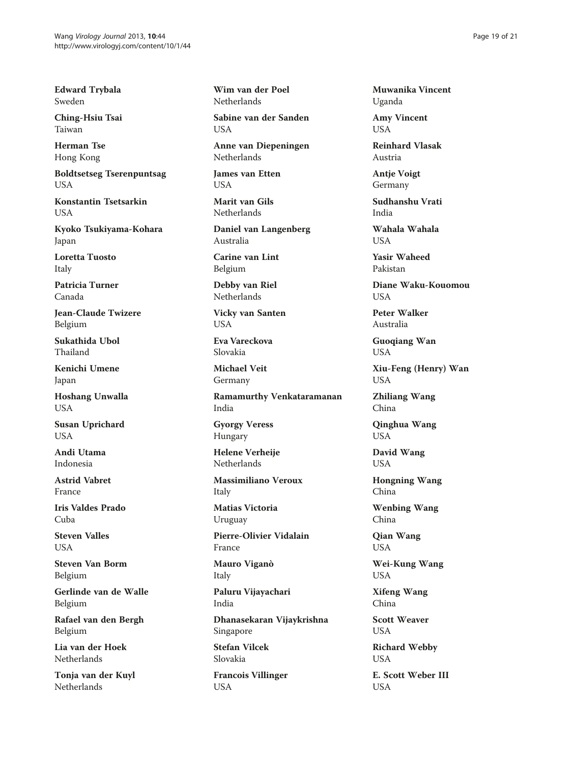Edward Trybala Sweden

Ching-Hsiu Tsai Taiwan

Herman Tse Hong Kong

Boldtsetseg Tserenpuntsag USA

Konstantin Tsetsarkin **I** ISA

Kyoko Tsukiyama-Kohara Japan

Loretta Tuosto Italy

Patricia Turner Canada

Jean-Claude Twizere Belgium

Sukathida Ubol Thailand

Kenichi Umene Japan

Hoshang Unwalla USA

Susan Uprichard **USA** 

Andi Utama Indonesia

Astrid Vabret France

Iris Valdes Prado Cuba

Steven Valles **USA** 

Steven Van Borm Belgium

Gerlinde van de Walle Belgium

Rafael van den Bergh Belgium

Lia van der Hoek Netherlands

Tonja van der Kuyl Netherlands

Wim van der Poel **Netherlands** 

Sabine van der Sanden USA

Anne van Diepeningen Netherlands

James van Etten USA

Marit van Gils Netherlands

Daniel van Langenberg Australia

Carine van Lint Belgium

Debby van Riel Netherlands

Vicky van Santen USA

Eva Vareckova Slovakia

Michael Veit Germany

Ramamurthy Venkataramanan India

Gyorgy Veress Hungary

Helene Verheije Netherlands

Massimiliano Veroux Italy

Matias Victoria Uruguay

Pierre-Olivier Vidalain France

Mauro Viganò Italy

Paluru Vijayachari India

Dhanasekaran Vijaykrishna Singapore

Stefan Vilcek Slovakia

Francois Villinger USA

Muwanika Vincent Uganda

Amy Vincent USA

Reinhard Vlasak Austria

Antje Voigt Germany

Sudhanshu Vrati India

Wahala Wahala **USA** 

Yasir Waheed Pakistan

Diane Waku-Kouomou **USA** 

Peter Walker Australia

Guoqiang Wan USA

Xiu-Feng (Henry) Wan USA

Zhiliang Wang China

Qinghua Wang USA

David Wang USA

Hongning Wang China

Wenbing Wang China

Qian Wang USA

Wei-Kung Wang USA

Xifeng Wang China

Scott Weaver **USA** 

Richard Webby USA

E. Scott Weber III USA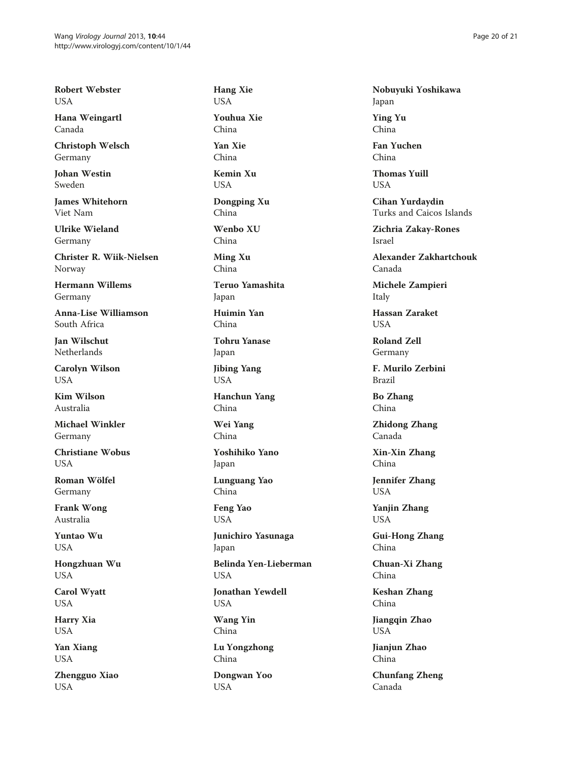Robert Webster USA

Hana Weingartl Canada

Christoph Welsch Germany

Johan Westin Sweden

James Whitehorn Viet Nam

Ulrike Wieland Germany

Christer R. Wiik-Nielsen Norway

Hermann Willems Germany

Anna-Lise Williamson South Africa

Jan Wilschut Netherlands

Carolyn Wilson **USA** 

Kim Wilson Australia

Michael Winkler Germany

Christiane Wobus **USA** 

Roman Wölfel Germany

Frank Wong Australia

Yuntao Wu USA

Hongzhuan Wu USA

Carol Wyatt USA

Harry Xia USA

Yan Xiang USA

Zhengguo Xiao USA

Hang Xie USA Youhua Xie China Yan Xie China Kemin Xu USA Dongping Xu China Wenbo XU China Ming Xu China Teruo Yamashita Japan Huimin Yan China Tohru Yanase Japan Jibing Yang USA Hanchun Yang China Wei Yang China Yoshihiko Yano Japan Lunguang Yao China Feng Yao USA Junichiro Yasunaga Japan Belinda Yen-Lieberman USA Jonathan Yewdell USA Wang Yin China Lu Yongzhong China Dongwan Yoo USA

Nobuyuki Yoshikawa Japan

Ying Yu China

Fan Yuchen China

Thomas Yuill USA

Cihan Yurdaydin Turks and Caicos Islands

Zichria Zakay-Rones Israel

Alexander Zakhartchouk Canada

Michele Zampieri Italy

Hassan Zaraket **USA** 

Roland Zell Germany

F. Murilo Zerbini Brazil

Bo Zhang China

Zhidong Zhang Canada

Xin-Xin Zhang China

Jennifer Zhang USA

Yanjin Zhang USA

Gui-Hong Zhang China

Chuan-Xi Zhang China

Keshan Zhang China

Jiangqin Zhao USA

Jianjun Zhao China

Chunfang Zheng Canada